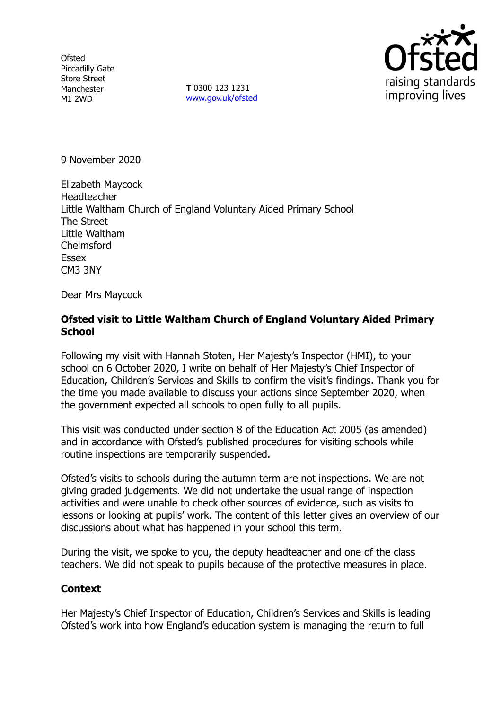**Ofsted** Piccadilly Gate Store Street Manchester M1 2WD

**T** 0300 123 1231 [www.gov.uk/ofsted](http://www.gov.uk/ofsted)



9 November 2020

Elizabeth Maycock Headteacher Little Waltham Church of England Voluntary Aided Primary School The Street Little Waltham Chelmsford Essex CM3 3NY

Dear Mrs Maycock

## **Ofsted visit to Little Waltham Church of England Voluntary Aided Primary School**

Following my visit with Hannah Stoten, Her Majesty's Inspector (HMI), to your school on 6 October 2020, I write on behalf of Her Majesty's Chief Inspector of Education, Children's Services and Skills to confirm the visit's findings. Thank you for the time you made available to discuss your actions since September 2020, when the government expected all schools to open fully to all pupils.

This visit was conducted under section 8 of the Education Act 2005 (as amended) and in accordance with Ofsted's published procedures for visiting schools while routine inspections are temporarily suspended.

Ofsted's visits to schools during the autumn term are not inspections. We are not giving graded judgements. We did not undertake the usual range of inspection activities and were unable to check other sources of evidence, such as visits to lessons or looking at pupils' work. The content of this letter gives an overview of our discussions about what has happened in your school this term.

During the visit, we spoke to you, the deputy headteacher and one of the class teachers. We did not speak to pupils because of the protective measures in place.

## **Context**

Her Majesty's Chief Inspector of Education, Children's Services and Skills is leading Ofsted's work into how England's education system is managing the return to full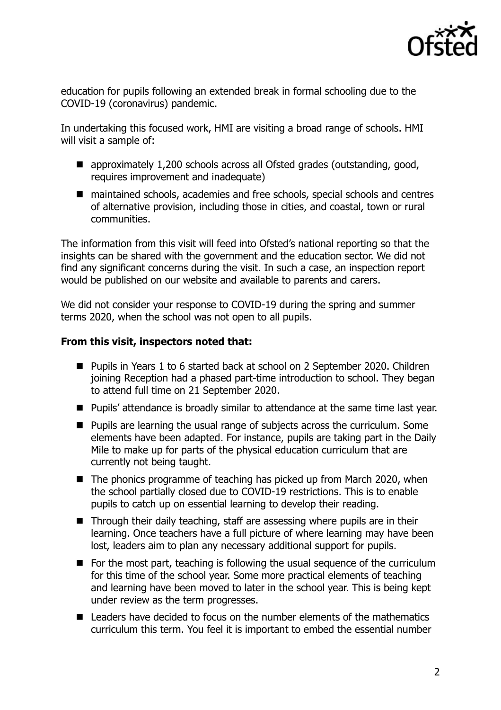

education for pupils following an extended break in formal schooling due to the COVID-19 (coronavirus) pandemic.

In undertaking this focused work, HMI are visiting a broad range of schools. HMI will visit a sample of:

- approximately 1,200 schools across all Ofsted grades (outstanding, good, requires improvement and inadequate)
- maintained schools, academies and free schools, special schools and centres of alternative provision, including those in cities, and coastal, town or rural communities.

The information from this visit will feed into Ofsted's national reporting so that the insights can be shared with the government and the education sector. We did not find any significant concerns during the visit. In such a case, an inspection report would be published on our website and available to parents and carers.

We did not consider your response to COVID-19 during the spring and summer terms 2020, when the school was not open to all pupils.

## **From this visit, inspectors noted that:**

- Pupils in Years 1 to 6 started back at school on 2 September 2020. Children ioining Reception had a phased part-time introduction to school. They began to attend full time on 21 September 2020.
- Pupils' attendance is broadly similar to attendance at the same time last year.
- Pupils are learning the usual range of subjects across the curriculum. Some elements have been adapted. For instance, pupils are taking part in the Daily Mile to make up for parts of the physical education curriculum that are currently not being taught.
- $\blacksquare$  The phonics programme of teaching has picked up from March 2020, when the school partially closed due to COVID-19 restrictions. This is to enable pupils to catch up on essential learning to develop their reading.
- Through their daily teaching, staff are assessing where pupils are in their learning. Once teachers have a full picture of where learning may have been lost, leaders aim to plan any necessary additional support for pupils.
- For the most part, teaching is following the usual sequence of the curriculum for this time of the school year. Some more practical elements of teaching and learning have been moved to later in the school year. This is being kept under review as the term progresses.
- Leaders have decided to focus on the number elements of the mathematics curriculum this term. You feel it is important to embed the essential number